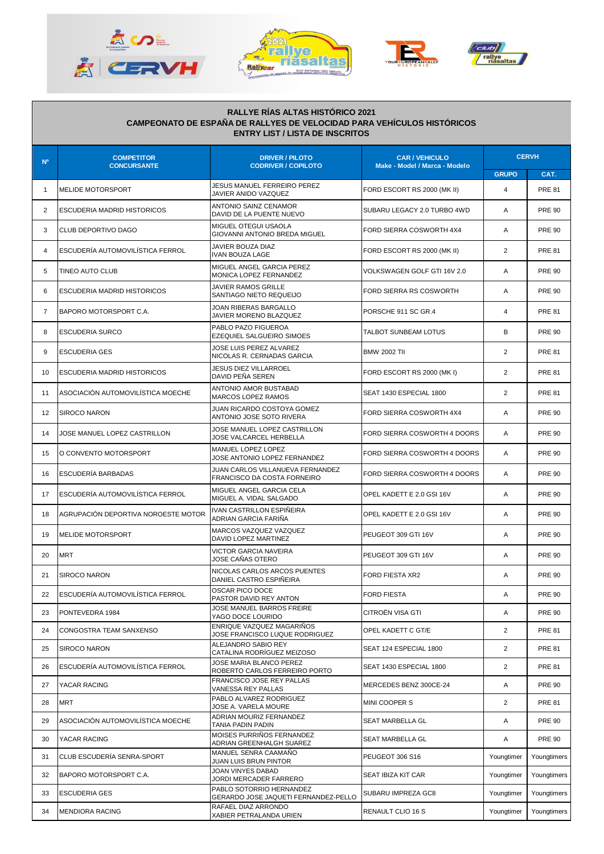







## **RALLYE RÍAS ALTAS HISTÓRICO 2021 CAMPEONATO DE ESPAÑA DE RALLYES DE VELOCIDAD PARA VEHÍCULOS HISTÓRICOS ENTRY LIST / LISTA DE INSCRITOS**

| N <sup>o</sup> | <b>COMPETITOR</b><br><b>CONCURSANTE</b> | <b>DRIVER / PILOTO</b><br><b>CODRIVER / COPILOTO</b>             | <b>CAR / VEHICULO</b><br>Make - Model / Marca - Modelo | <b>CERVH</b>   |               |
|----------------|-----------------------------------------|------------------------------------------------------------------|--------------------------------------------------------|----------------|---------------|
|                |                                         |                                                                  |                                                        | <b>GRUPO</b>   | CAT.          |
| $\mathbf{1}$   | <b>MELIDE MOTORSPORT</b>                | JESUS MANUEL FERREIRO PEREZ<br>JAVIER ANIDO VAZQUEZ              | FORD ESCORT RS 2000 (MK II)                            | $\overline{4}$ | <b>PRE 81</b> |
| 2              | ESCUDERIA MADRID HISTORICOS             | ANTONIO SAINZ CENAMOR<br>DAVID DE LA PUENTE NUEVO                | SUBARU LEGACY 2.0 TURBO 4WD                            | Α              | <b>PRE 90</b> |
| 3              | CLUB DEPORTIVO DAGO                     | MIGUEL OTEGUI USAOLA<br>GIOVANNI ANTONIO BREDA MIGUEL            | FORD SIERRA COSWORTH 4X4                               | A              | <b>PRE 90</b> |
| 4              | ESCUDERÍA AUTOMOVILÍSTICA FERROL        | JAVIER BOUZA DIAZ<br><b>IVAN BOUZA LAGE</b>                      | FORD ESCORT RS 2000 (MK II)                            | 2              | <b>PRE 81</b> |
| 5              | TINEO AUTO CLUB                         | MIGUEL ANGEL GARCIA PEREZ<br>MONICA LOPEZ FERNANDEZ              | VOLKSWAGEN GOLF GTI 16V 2.0                            | Α              | <b>PRE 90</b> |
| 6              | ESCUDERIA MADRID HISTORICOS             | <b>JAVIER RAMOS GRILLE</b><br>SANTIAGO NIETO REQUEIJO            | FORD SIERRA RS COSWORTH                                | A              | <b>PRE 90</b> |
| 7              | BAPORO MOTORSPORT C.A.                  | JOAN RIBERAS BARGALLO<br>JAVIER MORENO BLAZQUEZ                  | PORSCHE 911 SC GR.4                                    | 4              | <b>PRE 81</b> |
| 8              | <b>ESCUDERIA SURCO</b>                  | PABLO PAZO FIGUEROA<br>EZEQUIEL SALGUEIRO SIMOES                 | TALBOT SUNBEAM LOTUS                                   | B              | <b>PRE 90</b> |
| 9              | <b>ESCUDERIA GES</b>                    | JOSE LUIS PEREZ ALVAREZ<br>NICOLAS R. CERNADAS GARCIA            | <b>BMW 2002 TII</b>                                    | $\overline{2}$ | <b>PRE 81</b> |
| 10             | ESCUDERIA MADRID HISTORICOS             | <b>JESUS DIEZ VILLARROEL</b><br>DAVID PEÑA SEREN                 | FORD ESCORT RS 2000 (MK I)                             | $\overline{2}$ | <b>PRE 81</b> |
| 11             | ASOCIACIÓN AUTOMOVILÍSTICA MOECHE       | ANTONIO AMOR BUSTABAD<br><b>MARCOS LOPEZ RAMOS</b>               | SEAT 1430 ESPECIAL 1800                                | $\overline{2}$ | <b>PRE 81</b> |
| 12             | <b>SIROCO NARON</b>                     | JUAN RICARDO COSTOYA GOMEZ<br>ANTONIO JOSE SOTO RIVERA           | FORD SIERRA COSWORTH 4X4                               | A              | <b>PRE 90</b> |
| 14             | JOSE MANUEL LOPEZ CASTRILLON            | JOSE MANUEL LOPEZ CASTRILLON<br>JOSE VALCARCEL HERBELLA          | FORD SIERRA COSWORTH 4 DOORS                           | Α              | <b>PRE 90</b> |
| 15             | O CONVENTO MOTORSPORT                   | MANUEL LOPEZ LOPEZ<br>JOSE ANTONIO LOPEZ FERNANDEZ               | FORD SIERRA COSWORTH 4 DOORS                           | Α              | <b>PRE 90</b> |
| 16             | ESCUDERÍA BARBADAS                      | JUAN CARLOS VILLANUEVA FERNANDEZ<br>FRANCISCO DA COSTA FORNEIRO  | FORD SIERRA COSWORTH 4 DOORS                           | A              | <b>PRE 90</b> |
| 17             | ESCUDERÍA AUTOMOVILÍSTICA FERROL        | MIGUEL ANGEL GARCIA CELA<br>MIGUEL A. VIDAL SALGADO              | OPEL KADETT E 2.0 GSI 16V                              | Α              | <b>PRE 90</b> |
| 18             | AGRUPACIÓN DEPORTIVA NOROESTE MOTOR     | IVAN CASTRILLON ESPIÑEIRA<br>ADRIAN GARCIA FARIÑA                | OPEL KADETT E 2.0 GSI 16V                              | Α              | <b>PRE 90</b> |
| 19             | <b>MELIDE MOTORSPORT</b>                | MARCOS VAZQUEZ VAZQUEZ<br>DAVID LOPEZ MARTINEZ                   | PEUGEOT 309 GTI 16V                                    | A              | <b>PRE 90</b> |
| 20             | <b>MRT</b>                              | <b>VICTOR GARCIA NAVEIRA</b><br>JOSE CAÑAS OTERO                 | PEUGEOT 309 GTI 16V                                    | Α              | <b>PRE 90</b> |
| 21             | <b>SIROCO NARON</b>                     | NICOLAS CARLOS ARCOS PUENTES<br>DANIEL CASTRO ESPIÑEIRA          | FORD FIESTA XR2                                        | Α              | <b>PRE 90</b> |
| 22             | ESCUDERÍA AUTOMOVILÍSTICA FERROL        | OSCAR PICO DOCE<br>PASTOR DAVID REY ANTON                        | <b>FORD FIESTA</b>                                     | A              | <b>PRE 90</b> |
| 23             | PONTEVEDRA 1984                         | JOSE MANUEL BARROS FREIRE<br>YAGO DOCE LOURIDO                   | CITROËN VISA GTI                                       | Α              | <b>PRE 90</b> |
| 24             | CONGOSTRA TEAM SANXENSO                 | ENRIQUE VAZQUEZ MAGARIÑOS<br>JOSE FRANCISCO LUQUE RODRIGUEZ      | OPEL KADETT C GT/E                                     | 2              | <b>PRE 81</b> |
| 25             | <b>SIROCO NARON</b>                     | ALEJANDRO SABIO REY<br>CATALINA RODRÍGUEZ MEIZOSO                | SEAT 124 ESPECIAL 1800                                 | 2              | <b>PRE 81</b> |
| 26             | ESCUDERÍA AUTOMOVILÍSTICA FERROL        | JOSE MARIA BLANCO PEREZ<br>ROBERTO CARLOS FERREIRO PORTO         | SEAT 1430 ESPECIAL 1800                                | 2              | <b>PRE 81</b> |
| 27             | YACAR RACING                            | FRANCISCO JOSE REY PALLAS<br>VANESSA REY PALLAS                  | MERCEDES BENZ 300CE-24                                 | Α              | <b>PRE 90</b> |
| 28             | <b>MRT</b>                              | PABLO ALVAREZ RODRIGUEZ<br>JOSE A. VARELA MOURE                  | MINI COOPER S                                          | 2              | <b>PRE 81</b> |
| 29             | ASOCIACIÓN AUTOMOVILÍSTICA MOECHE       | ADRIAN MOURIZ FERNANDEZ<br>TANIA PADIN PADIN                     | <b>SEAT MARBELLA GL</b>                                | Α              | <b>PRE 90</b> |
| 30             | YACAR RACING                            | MOISES PURRIÑOS FERNANDEZ<br>ADRIAN GREENHALGH SUAREZ            | SEAT MARBELLA GL                                       | Α              | <b>PRE 90</b> |
| 31             | CLUB ESCUDERÍA SENRA-SPORT              | MANUEL SENRA CAAMAÑO<br>JUAN LUIS BRUN PINTOR                    | PEUGEOT 306 S16                                        | Youngtimer     | Youngtimers   |
| 32             | BAPORO MOTORSPORT C.A.                  | JOAN VINYES DABAD<br>JORDI MERCADER FARRERO                      | SEAT IBIZA KIT CAR                                     | Youngtimer     | Youngtimers   |
| 33             | <b>ESCUDERIA GES</b>                    | PABLO SOTORRIO HERNANDEZ<br>GERARDO JOSE JAQUETI FERNANDEZ-PELLO | SUBARU IMPREZA GC8                                     | Youngtimer     | Youngtimers   |
| 34             | <b>MENDIORA RACING</b>                  | RAFAEL DIAZ ARRONDO<br>XABIER PETRALANDA URIEN                   | RENAULT CLIO 16 S                                      | Youngtimer     | Youngtimers   |